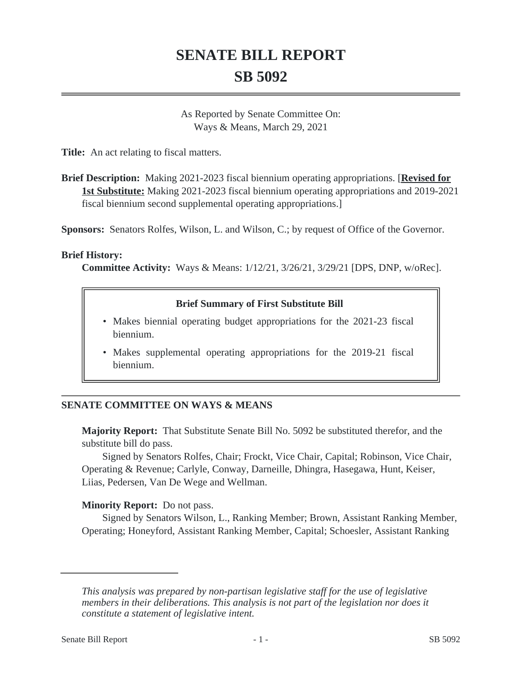# **SENATE BILL REPORT SB 5092**

As Reported by Senate Committee On: Ways & Means, March 29, 2021

**Title:** An act relating to fiscal matters.

**Brief Description:** Making 2021-2023 fiscal biennium operating appropriations. [**Revised for 1st Substitute:** Making 2021-2023 fiscal biennium operating appropriations and 2019-2021 fiscal biennium second supplemental operating appropriations.]

**Sponsors:** Senators Rolfes, Wilson, L. and Wilson, C.; by request of Office of the Governor.

#### **Brief History:**

**Committee Activity:** Ways & Means: 1/12/21, 3/26/21, 3/29/21 [DPS, DNP, w/oRec].

### **Brief Summary of First Substitute Bill**

- Makes biennial operating budget appropriations for the 2021-23 fiscal biennium.
- Makes supplemental operating appropriations for the 2019-21 fiscal biennium.

### **SENATE COMMITTEE ON WAYS & MEANS**

**Majority Report:** That Substitute Senate Bill No. 5092 be substituted therefor, and the substitute bill do pass.

Signed by Senators Rolfes, Chair; Frockt, Vice Chair, Capital; Robinson, Vice Chair, Operating & Revenue; Carlyle, Conway, Darneille, Dhingra, Hasegawa, Hunt, Keiser, Liias, Pedersen, Van De Wege and Wellman.

#### **Minority Report:** Do not pass.

Signed by Senators Wilson, L., Ranking Member; Brown, Assistant Ranking Member, Operating; Honeyford, Assistant Ranking Member, Capital; Schoesler, Assistant Ranking

*This analysis was prepared by non-partisan legislative staff for the use of legislative members in their deliberations. This analysis is not part of the legislation nor does it constitute a statement of legislative intent.*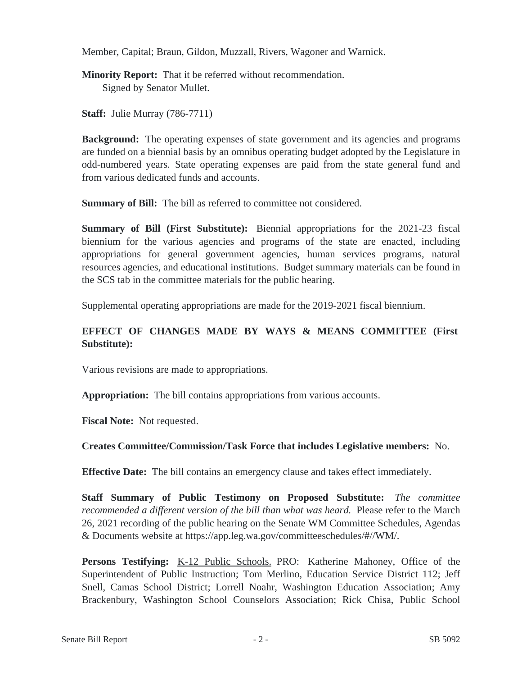Member, Capital; Braun, Gildon, Muzzall, Rivers, Wagoner and Warnick.

**Minority Report:** That it be referred without recommendation. Signed by Senator Mullet.

**Staff:** Julie Murray (786-7711)

**Background:** The operating expenses of state government and its agencies and programs are funded on a biennial basis by an omnibus operating budget adopted by the Legislature in odd-numbered years. State operating expenses are paid from the state general fund and from various dedicated funds and accounts.

**Summary of Bill:** The bill as referred to committee not considered.

**Summary of Bill (First Substitute):** Biennial appropriations for the 2021-23 fiscal biennium for the various agencies and programs of the state are enacted, including appropriations for general government agencies, human services programs, natural resources agencies, and educational institutions. Budget summary materials can be found in the SCS tab in the committee materials for the public hearing.

Supplemental operating appropriations are made for the 2019-2021 fiscal biennium.

# **EFFECT OF CHANGES MADE BY WAYS & MEANS COMMITTEE (First Substitute):**

Various revisions are made to appropriations.

**Appropriation:** The bill contains appropriations from various accounts.

**Fiscal Note:** Not requested.

## **Creates Committee/Commission/Task Force that includes Legislative members:** No.

**Effective Date:** The bill contains an emergency clause and takes effect immediately.

**Staff Summary of Public Testimony on Proposed Substitute:** *The committee recommended a different version of the bill than what was heard.* Please refer to the March 26, 2021 recording of the public hearing on the Senate WM Committee Schedules, Agendas & Documents website at https://app.leg.wa.gov/committeeschedules/#//WM/.

**Persons Testifying:** K-12 Public Schools. PRO: Katherine Mahoney, Office of the Superintendent of Public Instruction; Tom Merlino, Education Service District 112; Jeff Snell, Camas School District; Lorrell Noahr, Washington Education Association; Amy Brackenbury, Washington School Counselors Association; Rick Chisa, Public School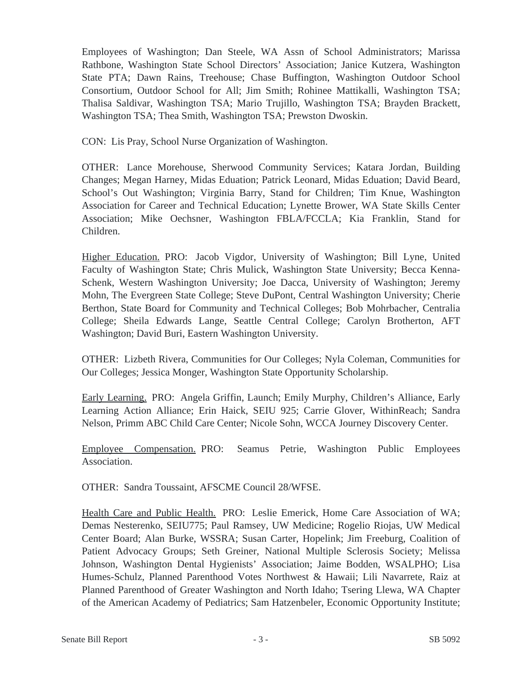Employees of Washington; Dan Steele, WA Assn of School Administrators; Marissa Rathbone, Washington State School Directors' Association; Janice Kutzera, Washington State PTA; Dawn Rains, Treehouse; Chase Buffington, Washington Outdoor School Consortium, Outdoor School for All; Jim Smith; Rohinee Mattikalli, Washington TSA; Thalisa Saldivar, Washington TSA; Mario Trujillo, Washington TSA; Brayden Brackett, Washington TSA; Thea Smith, Washington TSA; Prewston Dwoskin.

CON: Lis Pray, School Nurse Organization of Washington.

OTHER: Lance Morehouse, Sherwood Community Services; Katara Jordan, Building Changes; Megan Harney, Midas Eduation; Patrick Leonard, Midas Eduation; David Beard, School's Out Washington; Virginia Barry, Stand for Children; Tim Knue, Washington Association for Career and Technical Education; Lynette Brower, WA State Skills Center Association; Mike Oechsner, Washington FBLA/FCCLA; Kia Franklin, Stand for Children.

Higher Education. PRO: Jacob Vigdor, University of Washington; Bill Lyne, United Faculty of Washington State; Chris Mulick, Washington State University; Becca Kenna-Schenk, Western Washington University; Joe Dacca, University of Washington; Jeremy Mohn, The Evergreen State College; Steve DuPont, Central Washington University; Cherie Berthon, State Board for Community and Technical Colleges; Bob Mohrbacher, Centralia College; Sheila Edwards Lange, Seattle Central College; Carolyn Brotherton, AFT Washington; David Buri, Eastern Washington University.

OTHER: Lizbeth Rivera, Communities for Our Colleges; Nyla Coleman, Communities for Our Colleges; Jessica Monger, Washington State Opportunity Scholarship.

Early Learning. PRO: Angela Griffin, Launch; Emily Murphy, Children's Alliance, Early Learning Action Alliance; Erin Haick, SEIU 925; Carrie Glover, WithinReach; Sandra Nelson, Primm ABC Child Care Center; Nicole Sohn, WCCA Journey Discovery Center.

Employee Compensation. PRO: Seamus Petrie, Washington Public Employees Association.

OTHER: Sandra Toussaint, AFSCME Council 28/WFSE.

Health Care and Public Health. PRO: Leslie Emerick, Home Care Association of WA; Demas Nesterenko, SEIU775; Paul Ramsey, UW Medicine; Rogelio Riojas, UW Medical Center Board; Alan Burke, WSSRA; Susan Carter, Hopelink; Jim Freeburg, Coalition of Patient Advocacy Groups; Seth Greiner, National Multiple Sclerosis Society; Melissa Johnson, Washington Dental Hygienists' Association; Jaime Bodden, WSALPHO; Lisa Humes-Schulz, Planned Parenthood Votes Northwest & Hawaii; Lili Navarrete, Raiz at Planned Parenthood of Greater Washington and North Idaho; Tsering Llewa, WA Chapter of the American Academy of Pediatrics; Sam Hatzenbeler, Economic Opportunity Institute;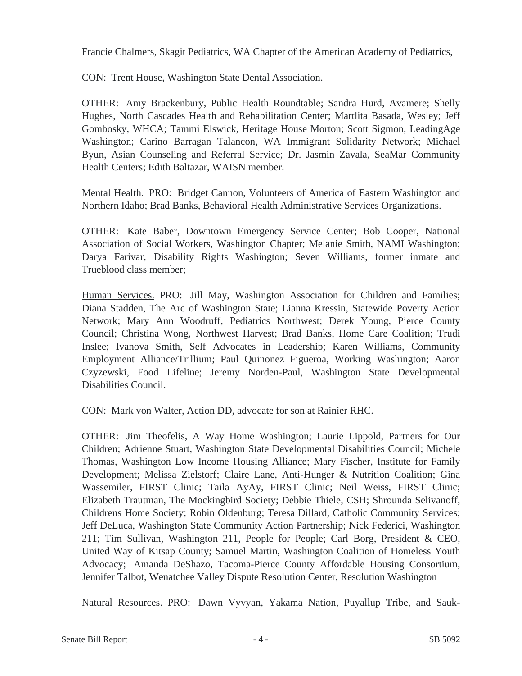Francie Chalmers, Skagit Pediatrics, WA Chapter of the American Academy of Pediatrics,

CON: Trent House, Washington State Dental Association.

OTHER: Amy Brackenbury, Public Health Roundtable; Sandra Hurd, Avamere; Shelly Hughes, North Cascades Health and Rehabilitation Center; Martlita Basada, Wesley; Jeff Gombosky, WHCA; Tammi Elswick, Heritage House Morton; Scott Sigmon, LeadingAge Washington; Carino Barragan Talancon, WA Immigrant Solidarity Network; Michael Byun, Asian Counseling and Referral Service; Dr. Jasmin Zavala, SeaMar Community Health Centers; Edith Baltazar, WAISN member.

Mental Health. PRO: Bridget Cannon, Volunteers of America of Eastern Washington and Northern Idaho; Brad Banks, Behavioral Health Administrative Services Organizations.

OTHER: Kate Baber, Downtown Emergency Service Center; Bob Cooper, National Association of Social Workers, Washington Chapter; Melanie Smith, NAMI Washington; Darya Farivar, Disability Rights Washington; Seven Williams, former inmate and Trueblood class member;

Human Services. PRO: Jill May, Washington Association for Children and Families; Diana Stadden, The Arc of Washington State; Lianna Kressin, Statewide Poverty Action Network; Mary Ann Woodruff, Pediatrics Northwest; Derek Young, Pierce County Council; Christina Wong, Northwest Harvest; Brad Banks, Home Care Coalition; Trudi Inslee; Ivanova Smith, Self Advocates in Leadership; Karen Williams, Community Employment Alliance/Trillium; Paul Quinonez Figueroa, Working Washington; Aaron Czyzewski, Food Lifeline; Jeremy Norden-Paul, Washington State Developmental Disabilities Council.

CON: Mark von Walter, Action DD, advocate for son at Rainier RHC.

OTHER: Jim Theofelis, A Way Home Washington; Laurie Lippold, Partners for Our Children; Adrienne Stuart, Washington State Developmental Disabilities Council; Michele Thomas, Washington Low Income Housing Alliance; Mary Fischer, Institute for Family Development; Melissa Zielstorf; Claire Lane, Anti-Hunger & Nutrition Coalition; Gina Wassemiler, FIRST Clinic; Taila AyAy, FIRST Clinic; Neil Weiss, FIRST Clinic; Elizabeth Trautman, The Mockingbird Society; Debbie Thiele, CSH; Shrounda Selivanoff, Childrens Home Society; Robin Oldenburg; Teresa Dillard, Catholic Community Services; Jeff DeLuca, Washington State Community Action Partnership; Nick Federici, Washington 211; Tim Sullivan, Washington 211, People for People; Carl Borg, President & CEO, United Way of Kitsap County; Samuel Martin, Washington Coalition of Homeless Youth Advocacy; Amanda DeShazo, Tacoma-Pierce County Affordable Housing Consortium, Jennifer Talbot, Wenatchee Valley Dispute Resolution Center, Resolution Washington

Natural Resources. PRO: Dawn Vyvyan, Yakama Nation, Puyallup Tribe, and Sauk-